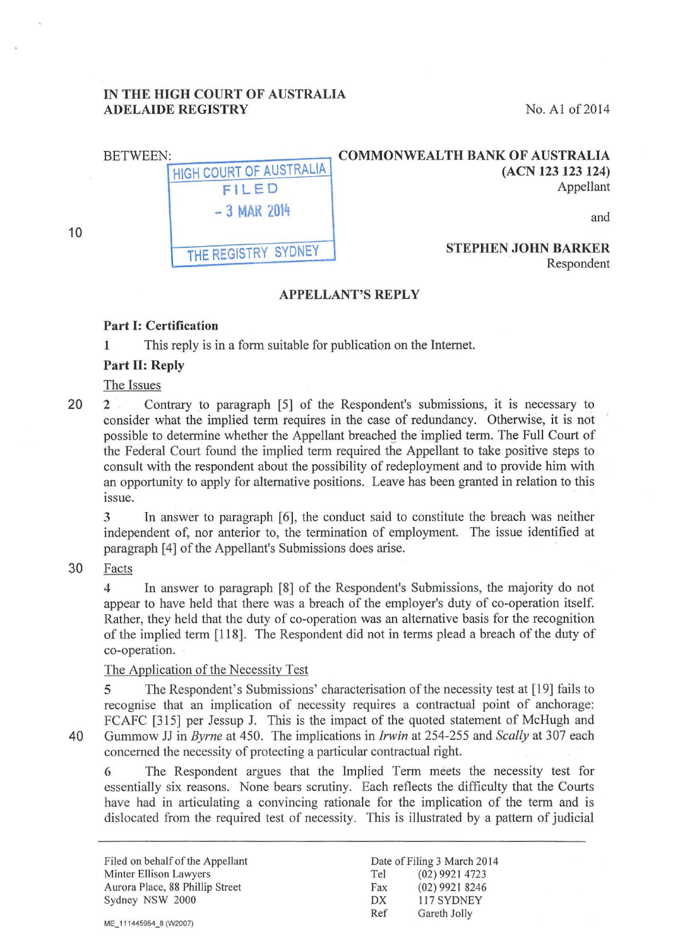# IN THE HIGH COURT OF AUSTRALIA ADELAIDE REGISTRY No. A1 of 2014

| <b>COMMONWEALTH BANK OF AUSTRALIA</b><br>(ACN 123 123 124)<br>Appellant | HIGH COURT OF AUSTRALIA<br>FILED | <b>BETWEEN:</b> |
|-------------------------------------------------------------------------|----------------------------------|-----------------|
| and                                                                     | $-3$ MAR 2014                    |                 |
| <b>STEPHEN JOHN BARKER</b><br>Respondent                                | THE REGISTRY SYDNEY              |                 |

### APPELLANT'S REPLY

### Part 1: Certification

1 This reply is in a form suitable for publication on the Internet.

## Part II: Reply

## The Issues

10

20 2 Contrary to paragraph [5] of the Respondent's submissions, it is necessary to consider what the implied term requires in the case of redundancy. Otherwise, it is not possible to determine whether the Appellant breacheg the implied term. The Full Court of the Federal Court found the implied term required the Appellant to take positive steps to consult with the respondent about the possibility of redeployment and to provide him with an opportunity to apply for alternative positions. Leave has been granted in relation to this issue.

3 In answer to paragraph [6], the conduct said to constitute the breach was neither independent of, nor anterior to, the termination of employment. The issue identified at paragraph [4] of the Appellant's Submissions does arise.

30 Facts

4 In answer to paragraph [8] of the Respondent's Submissions, the majority do not appear to have held that there was a breach of the employer's duty of co-operation itself. Rather, they held that the duty of co-operation was an alternative basis for the recognition of the implied term [118]. The Respondent did not in terms plead a breach of the duty of co-operation.

### The Application of the Necessity Test

5 The Respondent's Submissions' characterisation of the necessity test at [19] fails to recognise that an implication of necessity requires a contractual point of anchorage: FCAFC [315] per Jessup J. This is the impact of the quoted statement of McHugh and 40 Gummow JJ in *Byrne* at 450. The implications in *Irwin* at 254-255 and *Scally* at 307 each concerned the necessity of protecting a particular contractual right.

6 The Respondent argues that the Implied Term meets the necessity test for essentially six reasons. None bears scrutiny. Each reflects the difficulty that the Courts have had in articulating a convincing rationale for the implication of the term and is dislocated from the required test of necessity. This is illustrated by a pattern of judicial

Filed on behalf of the Appellant Minter Ellison Lawyers Aurora Place, 88 Phillip Street Sydney NSW 2000

ME\_111445954\_8 (W2007)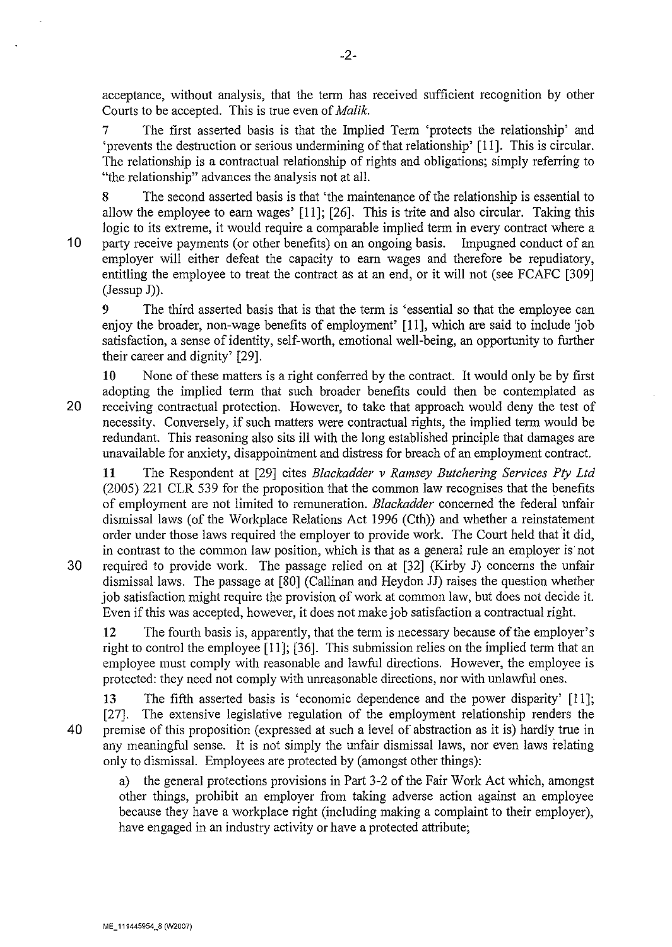acceptance, without analysis, that the term has received sufficient recognition by other Courts to be accepted. This is true even of *Malik.* 

The first asserted basis is that the Implied Term 'protects the relationship' and 'prevents the destruction or serious undermining of that relationship' [II]. This is circular. The relationship is a contractual relationship of rights and obligations; simply referring to "the relationship" advances the analysis not at all.

The second asserted basis is that 'the maintenance of the relationship is essential to allow the employee to earn wages' [11]; [26]. This is trite and also circular. Taking this logic to its extreme, it would require a comparable implied term in every contract where a 10 party receive payments (or other benefits) on an ongoing basis. Impugned conduct of an employer will either defeat the capacity to earn wages and therefore be repudiatory, entitling the employee to treat the contract as at an end, or it will not (see FCAFC [309] (Jessup J)).

9 The third asserted basis that is that the term is 'essential so that the employee can enjoy the broader, non-wage benefits of employment' [II], which are said to include job satisfaction, a sense of identity, self-worth, emotional well-being, an opportunity to further their career and dignity' [29].

**10** None of these matters is a right conferred by the contract. It would only be by first adopting the implied term that such broader benefits could then be contemplated as 20 receiving contractual protection. However, to take that approach would deny the test of necessity. Conversely, if such matters were contractual rights, the implied term would be redundant. This reasoning also sits ill with the long established principle that damages are unavailable for anxiety, disappointment and distress for breach of an employment contract.

**11** The Respondent at [29] cites *Blackadder v Ramsey Butchering Services Pty Ltd*  (2005) 221 CLR 539 for the proposition that the common law recognises that the benefits of employment are not limited to remuneration. *Blackadder* concerned the federal unfair dismissal laws (of the Workplace Relations Act 1996 (Cth)) and whether a reinstatement order under those laws required the employer to provide work. The Court held that it did, in contrast to the common law position, which is that as a general rule an employer is not 30 required to provide work. The passage relied on at [32] (Kirby J) concerns the unfair dismissal laws. The passage at [80] (Callinan and Heydon JJ) raises the question whether job satisfaction might require the provision of work at common law, but does not decide it. Even if this was accepted, however, it does not make job satisfaction a contractual right.

12 The fourth basis is, apparently, that the term is necessary because of the employer's right to control the employee [II]; [36]. This submission relies on the implied term that an employee must comply with reasonable and lawful directions. However, the employee is protected: they need not comply with unreasonable directions, nor with unlawful ones.

13 The fifth asserted basis is 'economic dependence and the power disparity' [II]; [27]. The extensive legislative regulation of the employment relationship renders the 40 premise of this proposition (expressed at such a level of abstraction as it is) hardly true in any meaningful sense. It is not simply the unfair dismissal laws, nor even laws relating only to dismissal. Employees are protected by (amongst other things):

a) the general protections provisions in Part 3-2 of the Fair Work Act which, amongst other things, prohibit an employer from taking adverse action against an employee because they have a workplace right (including making a complaint to their employer), have engaged in an industry activity or have a protected attribute;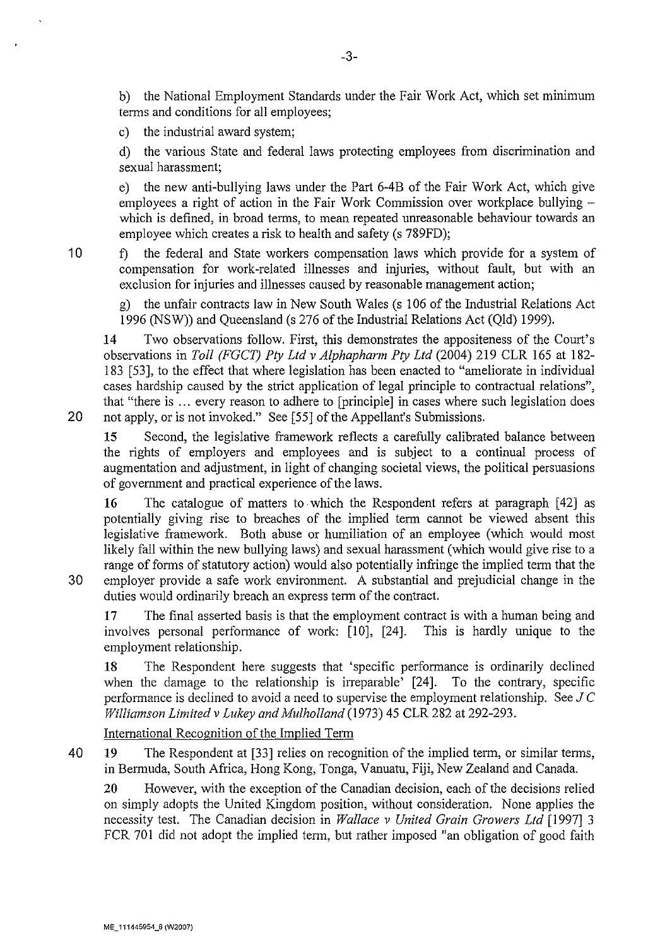b) the National Employment Standards under the Fair Work Act, which set minimum terms and conditions for all employees;

c) the industrial award system;

d) the various State and federal laws protecting employees from discrimination and sexual harassment;

e) the new anti-bullying laws under the Part 6-4B of the Fair Work Act, which give employees a right of action in the Fair Work Commission over workplace bullying which is defined, in broad terms, to mean repeated umeasonable behaviour towards an employee which creates a risk to health and safety (s 789FD);

10 f) the federal and State workers compensation laws which provide for a system of compensation for work-related illnesses and injuries, without fault, but with an exclusion for injuries and illnesses caused by reasonable management action;

g) the unfair contracts law in New South Wales (s 106 of the Industrial Relations Act 1996 (NSW)) and Queensland (s 276 of the Industrial Relations Act (Qld) 1999).

14 Two observations follow. First, this demonstrates the appositeness of the Court's observations in *Toll (FGCT) Pty Ltd v Alphapharm Pty Ltd* (2004) 219 CLR 165 at 182- 183 [53], to the effect that where legislation has been enacted to "ameliorate in individual cases hardship caused by the strict application of legal principle to contractual relations", that "there is ... every reason to adhere to [principle] in cases where such legislation does 20 not apply, or is not invoked." See [55] of the Appellant's Submissions.

15 Second, the legislative framework reflects a carefully calibrated balance between the rights of employers and employees and is subject to a continual process of augmentation and adjustment, in light of changing societal views, the political persuasions of govermnent and practical experience of the laws.

16 The catalogue of matters to which the Respondent refers at paragraph [42] as potentially giving rise to breaches of the implied term cannot be viewed absent this legislative framework. Both abuse or humiliation of an employee (which would most likely fall within the new bullying laws) and sexual harassment (which would give rise to a range of forms of statutory action) would also potentially infringe the implied term that the 30 employer provide a safe work environment. A substantial and prejudicial change in the duties would ordinarily breach an express term of the contract.

17 The final asserted basis is that the employment contract is with a human being and involves personal performance of work: [10], [24]. This is hardly unique to the employment relationship.

18 The Respondent here suggests that 'specific performance is ordinarily declined when the damage to the relationship is irreparable' [24]. To the contrary, specific performance is declined to avoid a need to supervise the employment relationship. See J *C Williamson Limited v Lukey and Mulholland* (1973) 45 CLR 282 at 292-293.

International Recognition of the Implied Term

40 19 The Respondent at [33] relies on recognition of the implied term, or similar terms, in Bermuda, South Africa, Hong Kong, Tonga, Vanuatu, Fiji, New Zealand and Canada.

20 However, with the exception of the Canadian decision, each of the decisions relied on simply adopts the United Kingdom position, without consideration. None applies the necessity test. The Canadian decision in *Wallace v United Grain Growers Ltd* [1997] 3 FCR 701 did not adopt the implied term, but rather imposed "an obligation of good faith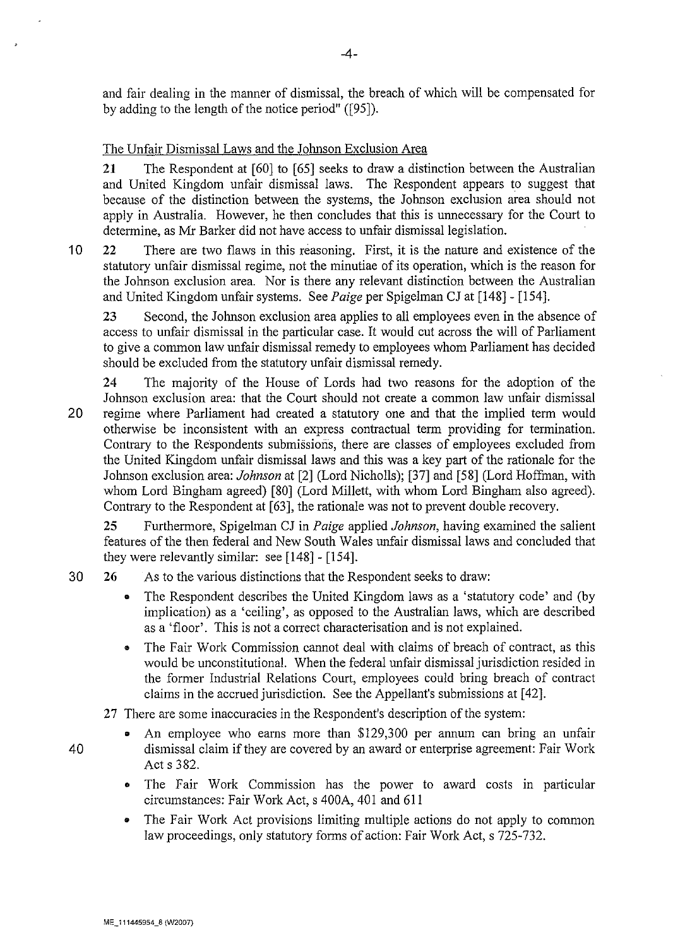and fair dealing in the manner of dismissal, the breach of which will be compensated for by adding to the length of the notice period" ([95]).

## The Unfair Dismissal Laws and the Johnson Exclusion Area

**21** The Respondent at [60] to [65] seeks to draw a distinction between the Australian and United Kingdom unfair dismissal laws. The Respondent appears to suggest that because of the distinction between the systems, the Johnson exclusion area should not apply in Australia. However, he then concludes that this is unnecessary for the Court to determine, as Mr Barker did not have access to unfair dismissal legislation.

10 22 There are two flaws in this reasoning. First, it is the nature and existence of the statutory unfair dismissal regime, not the minutiae of its operation, which is the reason for the Johnson exclusion area. Nor is there any relevant distinction between the Australian and United Kingdom unfair systems. See *Paige* per Spigelman CJ at [148]- [154].

23 Second, the Johnson exclusion area applies to all employees even in the absence of access to unfair dismissal in the particular case. It would cut across the will of Parliament to give a common law unfair dismissal remedy to employees whom Parliament has decided should be excluded from the statutory unfair dismissal remedy.

24 The majority of the House of Lords had two reasons for the adoption of the Johnson exclusion area: that the Court should not create a common law unfair dismissal 20 regime where Parliament had created a statutory one and that the implied term would otherwise be inconsistent with an express contractual term providing for termination. Contrary to the Respondents submissions, there are classes of employees excluded from the United Kingdom unfair dismissal laws and this was a key part of the rationale for the Johnson exclusion area: *Johnson* at [2] (Lord Nicholls); [37] and [58] (Lord Hoffman, with whom Lord Bingham agreed) [80] (Lord Millett, with whom Lord Bingham also agreed). Contrary to the Respondent at [63], the rationale was not to prevent double recovery.

**25** Furthermore, Spigelman CJ in *Paige* applied *Johnson,* having examined the salient features of the then federal and New South Wales unfair dismissal laws and concluded that they were relevantly similar: see [148]- [154].

- 30 **26** As to the various distinctions that the Respondent seeks to draw:
	- The Respondent describes the United Kingdom laws as a 'statutory code' and (by implication) as a 'ceiling', as opposed to the Australian laws, which are described as a 'floor'. This is not a correct characterisation and is not explained.
	- The Fair Work Commission cannot deal with claims of breach of contract, as this would be unconstitutional. When the federal unfair dismissal jurisdiction resided in the former Industrial Relations Court, employees could bring breach of contract claims in the accrued jurisdiction. See the Appellant's submissions at [ 42].

27 There are some inaccuracies in the Respondent's description of the system:

- An employee who earns more than \$129,300 per annum can bring an unfair 40 dismissal claim if they are covered by an award or enterprise agreement: Fair Work Act s 382.
	- The Fair Work Commission has the power to award costs in particular circumstances: Fair Work Act, s 400A, 401 and 611
	- The Fair Work Act provisions limiting multiple actions do not apply to common law proceedings, only statutory forms of action: Fair Work Act, s 725-732.